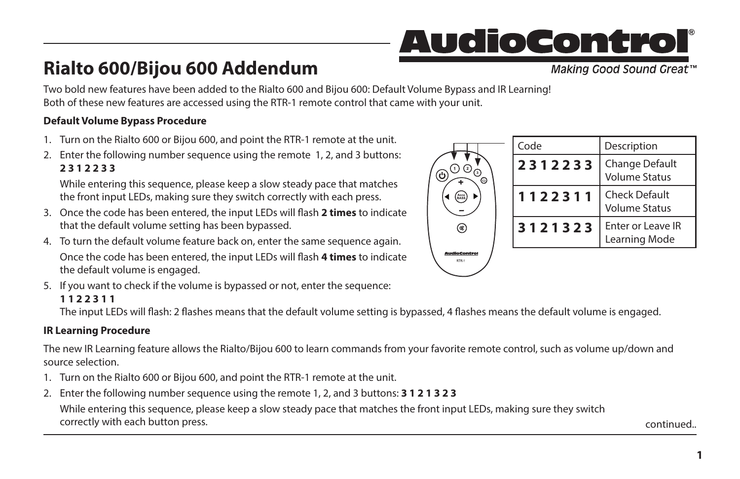# <u>AudioControl</u>

# **Rialto 600/Bijou 600 Addendum**

Making Good Sound Great<sup>™</sup>

**1**

Two bold new features have been added to the Rialto 600 and Bijou 600: Default Volume Bypass and IR Learning! Both of these new features are accessed using the RTR-1 remote control that came with your unit.

### **Default Volume Bypass Procedure**

- 1. Turn on the Rialto 600 or Bijou 600, and point the RTR-1 remote at the unit.
- 2. Enter the following number sequence using the remote 1, 2, and 3 buttons: **2 3 1 2 2 3 3**

While entering this sequence, please keep a slow steady pace that matches the front input LEDs, making sure they switch correctly with each press.

- 3. Once the code has been entered, the input LEDs will flash **2 times** to indicate that the default volume setting has been bypassed.
- 4. To turn the default volume feature back on, enter the same sequence again. Once the code has been entered, the input LEDs will flash **4 times** to indicate the default volume is engaged.
- 5. If you want to check if the volume is bypassed or not, enter the sequence:

#### **1 1 2 2 3 1 1**

The input LEDs will flash: 2 flashes means that the default volume setting is bypassed, 4 flashes means the default volume is engaged.

## **IR Learning Procedure**

The new IR Learning feature allows the Rialto/Bijou 600 to learn commands from your favorite remote control, such as volume up/down and source selection.

- 1. Turn on the Rialto 600 or Bijou 600, and point the RTR-1 remote at the unit.
- 2. Enter the following number sequence using the remote 1, 2, and 3 buttons: **3 1 2 1 3 2 3**

While entering this sequence, please keep a slow steady pace that matches the front input LEDs, making sure they switch correctly with each button press. The continued. The continued of the continued. The continued of the continued.

|              | Code    | Description                                  |
|--------------|---------|----------------------------------------------|
| ⊙            | 2312233 | Change Default<br><b>Volume Status</b>       |
| Accu<br>BASS | 1122311 | <b>Check Default</b><br><b>Volume Status</b> |
| ø            | 3121323 | Enter or Leave IR<br>Learning Mode           |
|              |         |                                              |